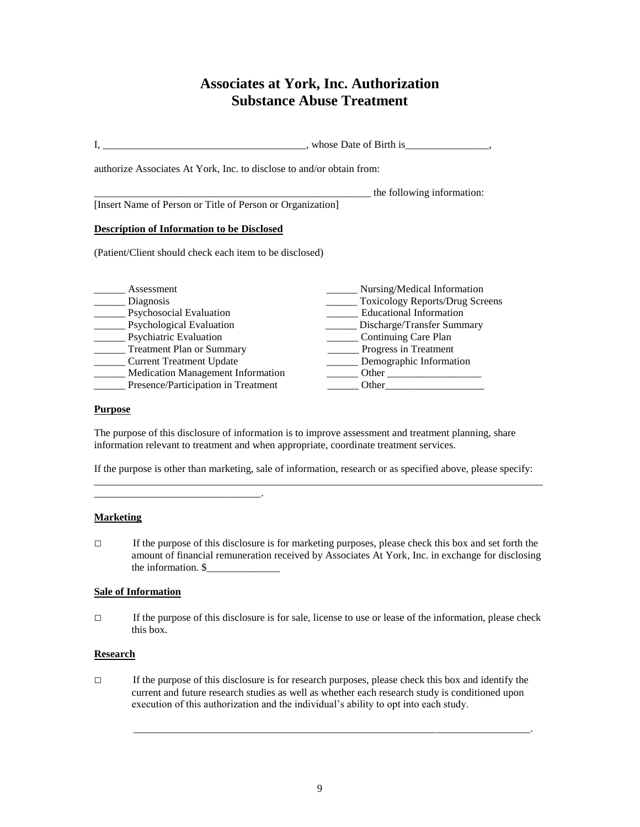# **Associates at York, Inc. Authorization Substance Abuse Treatment**

|                                                                                                              | whose Date of Birth is          |
|--------------------------------------------------------------------------------------------------------------|---------------------------------|
| authorize Associates At York, Inc. to disclose to and/or obtain from:                                        |                                 |
| [Insert Name of Person or Title of Person or Organization]                                                   | the following information:      |
| <b>Description of Information to be Disclosed</b><br>(Patient/Client should check each item to be disclosed) |                                 |
|                                                                                                              |                                 |
| Assessment                                                                                                   | Nursing/Medical Information     |
| Diagnosis                                                                                                    | Toxicology Reports/Drug Screens |
| Psychosocial Evaluation                                                                                      | <b>Educational Information</b>  |
| <b>Psychological Evaluation</b>                                                                              | Discharge/Transfer Summary      |
| Psychiatric Evaluation                                                                                       | Continuing Care Plan            |
| <b>Treatment Plan or Summary</b>                                                                             | Progress in Treatment           |
| <b>Current Treatment Update</b>                                                                              | Demographic Information         |
| Medication Management Information                                                                            | Other                           |
| Presence/Participation in Treatment                                                                          | Other                           |

#### **Purpose**

The purpose of this disclosure of information is to improve assessment and treatment planning, share information relevant to treatment and when appropriate, coordinate treatment services.

If the purpose is other than marketing, sale of information, research or as specified above, please specify: \_\_\_\_\_\_\_\_\_\_\_\_\_\_\_\_\_\_\_\_\_\_\_\_\_\_\_\_\_\_\_\_\_\_\_\_\_\_\_\_\_\_\_\_\_\_\_\_\_\_\_\_\_\_\_\_\_\_\_\_\_\_\_\_\_\_\_\_\_\_\_\_\_\_\_\_\_\_\_\_\_\_\_\_\_\_

# **Marketing**

 $\Box$  If the purpose of this disclosure is for marketing purposes, please check this box and set forth the amount of financial remuneration received by Associates At York, Inc. in exchange for disclosing the information.  $\$ 

# **Sale of Information**

\_\_\_\_\_\_\_\_\_\_\_\_\_\_\_\_\_\_\_\_\_\_\_\_\_\_\_\_\_\_\_\_.

□ If the purpose of this disclosure is for sale, license to use or lease of the information, please check this box.

# **Research**

 $\Box$  If the purpose of this disclosure is for research purposes, please check this box and identify the current and future research studies as well as whether each research study is conditioned upon execution of this authorization and the individual's ability to opt into each study.

\_\_\_\_\_\_\_\_\_\_\_\_\_\_\_\_\_\_\_\_\_\_\_\_\_\_\_\_\_\_\_\_\_\_\_\_\_\_\_\_\_\_\_\_\_\_\_\_\_\_\_\_\_\_\_\_\_\_\_\_\_\_\_\_\_\_\_\_\_\_\_\_\_\_\_\_.